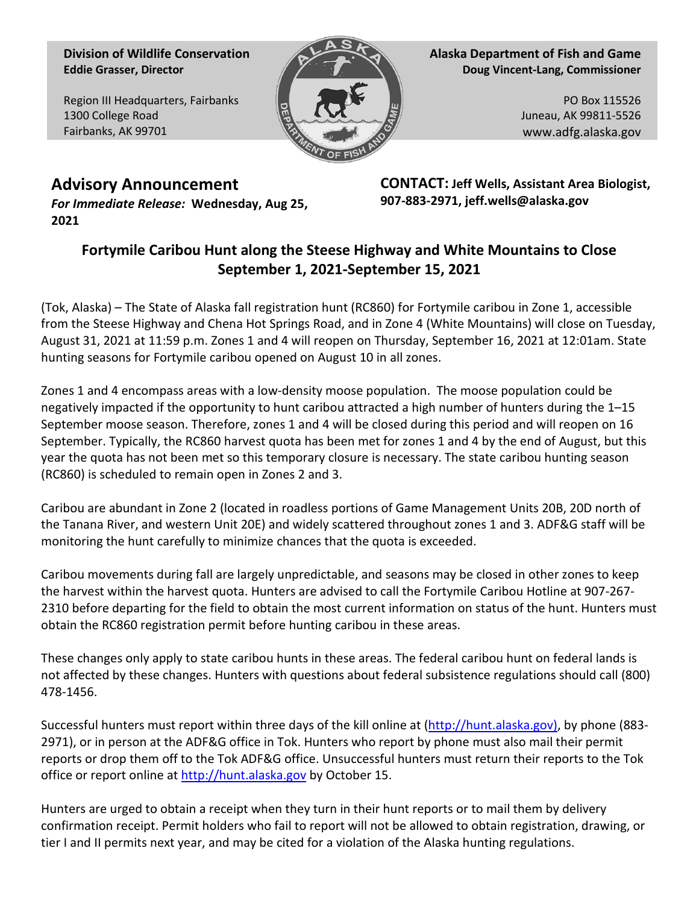**Division of Wildlife Conservation Eddie Grasser, Director**

Region III Headquarters, Fairbanks 1300 College Road Fairbanks, AK 99701



**Alaska Department of Fish and Game Doug Vincent-Lang, Commissioner**

> PO Box 115526 Juneau, AK 99811-5526 www.adfg.alaska.gov

**Advisory Announcement** *For Immediate Release:* **Wednesday, Aug 25, 2021**

**CONTACT: Jeff Wells, Assistant Area Biologist, 907-883-2971, jeff.wells@alaska.gov**

## **Fortymile Caribou Hunt along the Steese Highway and White Mountains to Close September 1, 2021-September 15, 2021**

(Tok, Alaska) – The State of Alaska fall registration hunt (RC860) for Fortymile caribou in Zone 1, accessible from the Steese Highway and Chena Hot Springs Road, and in Zone 4 (White Mountains) will close on Tuesday, August 31, 2021 at 11:59 p.m. Zones 1 and 4 will reopen on Thursday, September 16, 2021 at 12:01am. State hunting seasons for Fortymile caribou opened on August 10 in all zones.

Zones 1 and 4 encompass areas with a low-density moose population. The moose population could be negatively impacted if the opportunity to hunt caribou attracted a high number of hunters during the 1–15 September moose season. Therefore, zones 1 and 4 will be closed during this period and will reopen on 16 September. Typically, the RC860 harvest quota has been met for zones 1 and 4 by the end of August, but this year the quota has not been met so this temporary closure is necessary. The state caribou hunting season (RC860) is scheduled to remain open in Zones 2 and 3.

Caribou are abundant in Zone 2 (located in roadless portions of Game Management Units 20B, 20D north of the Tanana River, and western Unit 20E) and widely scattered throughout zones 1 and 3. ADF&G staff will be monitoring the hunt carefully to minimize chances that the quota is exceeded.

Caribou movements during fall are largely unpredictable, and seasons may be closed in other zones to keep the harvest within the harvest quota. Hunters are advised to call the Fortymile Caribou Hotline at 907-267- 2310 before departing for the field to obtain the most current information on status of the hunt. Hunters must obtain the RC860 registration permit before hunting caribou in these areas.

These changes only apply to state caribou hunts in these areas. The federal caribou hunt on federal lands is not affected by these changes. Hunters with questions about federal subsistence regulations should call (800) 478-1456.

Successful hunters must report within three days of the kill online at [\(http://hunt.alaska.gov\)](http://hunt.alaska.gov/), by phone (883- 2971), or in person at the ADF&G office in Tok. Hunters who report by phone must also mail their permit reports or drop them off to the Tok ADF&G office. Unsuccessful hunters must return their reports to the Tok office or report online a[t http://hunt.alaska.gov](http://hunt.alaska.gov/) by October 15.

Hunters are urged to obtain a receipt when they turn in their hunt reports or to mail them by delivery confirmation receipt. Permit holders who fail to report will not be allowed to obtain registration, drawing, or tier I and II permits next year, and may be cited for a violation of the Alaska hunting regulations.